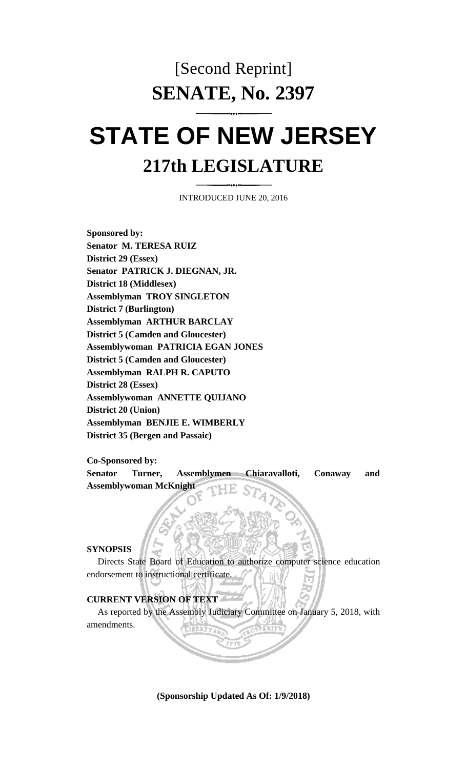## [Second Reprint] **SENATE, No. 2397**

# **STATE OF NEW JERSEY 217th LEGISLATURE**

INTRODUCED JUNE 20, 2016

**Sponsored by: Senator M. TERESA RUIZ District 29 (Essex) Senator PATRICK J. DIEGNAN, JR. District 18 (Middlesex) Assemblyman TROY SINGLETON District 7 (Burlington) Assemblyman ARTHUR BARCLAY District 5 (Camden and Gloucester) Assemblywoman PATRICIA EGAN JONES District 5 (Camden and Gloucester) Assemblyman RALPH R. CAPUTO District 28 (Essex) Assemblywoman ANNETTE QUIJANO District 20 (Union) Assemblyman BENJIE E. WIMBERLY District 35 (Bergen and Passaic)**

**Co-Sponsored by:**

**Senator Turner, Assemblymen Chiaravalloti, Conaway and Assemblywoman McKnight**

#### **SYNOPSIS**

Directs State Board of Education to authorize computer science education endorsement to instructional certificate.

### **CURRENT VERSION OF TEXT**

As reported by the Assembly Judiciary Committee on January 5, 2018, with amendments.

**(Sponsorship Updated As Of: 1/9/2018)**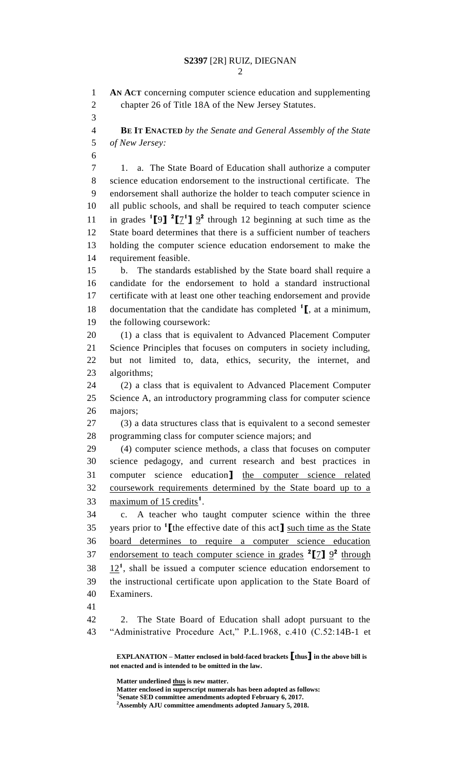**AN ACT** concerning computer science education and supplementing chapter 26 of Title 18A of the New Jersey Statutes. **BE IT ENACTED** *by the Senate and General Assembly of the State of New Jersey:* 1. a. The State Board of Education shall authorize a computer science education endorsement to the instructional certificate. The endorsement shall authorize the holder to teach computer science in all public schools, and shall be required to teach computer science 11 in grades  $\binom{1}{2}$  **[7<sup>1</sup>]**  $\frac{9}{2}$  through 12 beginning at such time as the State board determines that there is a sufficient number of teachers holding the computer science education endorsement to make the requirement feasible. b. The standards established by the State board shall require a candidate for the endorsement to hold a standard instructional certificate with at least one other teaching endorsement and provide documentation that the candidate has completed **<sup>1</sup> [**, at a minimum, the following coursework: (1) a class that is equivalent to Advanced Placement Computer Science Principles that focuses on computers in society including, but not limited to, data, ethics, security, the internet, and algorithms; (2) a class that is equivalent to Advanced Placement Computer Science A, an introductory programming class for computer science majors; (3) a data structures class that is equivalent to a second semester programming class for computer science majors; and (4) computer science methods, a class that focuses on computer science pedagogy, and current research and best practices in computer science education**]** the computer science related coursework requirements determined by the State board up to a 33 maximum of 15 credits<sup>1</sup>. c. A teacher who taught computer science within the three years prior to **<sup>1</sup> [**the effective date of this act**]** such time as the State board determines to require a computer science education 37 endorsement to teach computer science in grades <sup>2</sup>[7]  $9^2$  through  $38 \quad 12^1$ , shall be issued a computer science education endorsement to the instructional certificate upon application to the State Board of Examiners. 2. The State Board of Education shall adopt pursuant to the "Administrative Procedure Act," P.L.1968, c.410 (C.52:14B-1 et

**EXPLANATION – Matter enclosed in bold-faced brackets [thus] in the above bill is not enacted and is intended to be omitted in the law.**

**Matter underlined thus is new matter.**

**Matter enclosed in superscript numerals has been adopted as follows: Senate SED committee amendments adopted February 6, 2017.**

**Assembly AJU committee amendments adopted January 5, 2018.**